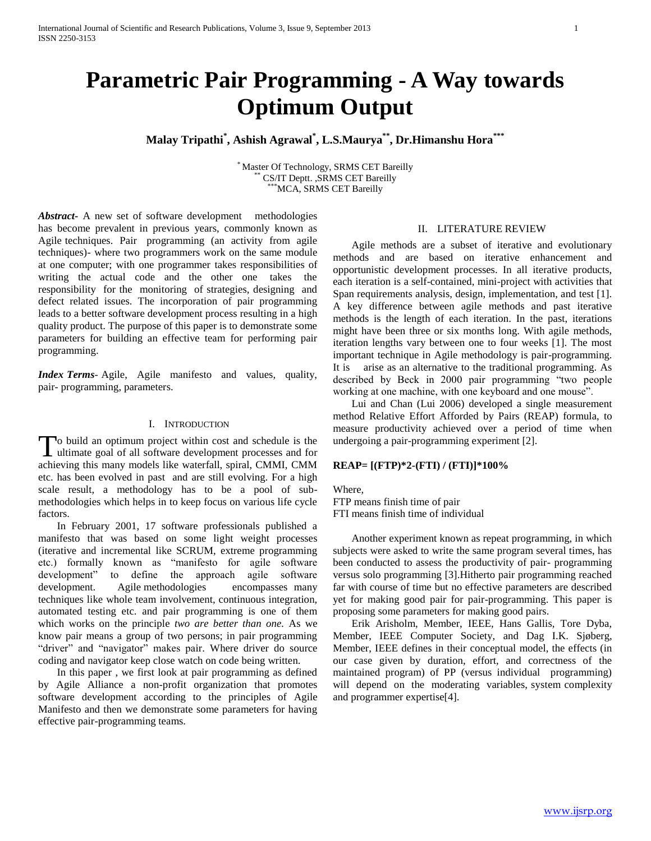# **Parametric Pair Programming - A Way towards Optimum Output**

**Malay Tripathi\* , Ashish Agrawal\* , L.S.Maurya\*\* , Dr.Himanshu Hora\*\*\***

\* Master Of Technology, SRMS CET Bareilly CS/IT Deptt. ,SRMS CET Bareilly MCA, SRMS CET Bareilly

*Abstract***-** A new set of software development methodologies has become prevalent in previous years, commonly known as Agile techniques. Pair programming (an activity from agile techniques)- where two programmers work on the same module at one computer; with one programmer takes responsibilities of writing the actual code and the other one takes the responsibility for the monitoring of strategies, designing and defect related issues. The incorporation of pair programming leads to a better software development process resulting in a high quality product. The purpose of this paper is to demonstrate some parameters for building an effective team for performing pair programming.

*Index Terms*- Agile, Agile manifesto and values, quality, pair- programming, parameters.

## I. INTRODUCTION

o build an optimum project within cost and schedule is the To build an optimum project within cost and schedule is the ultimate goal of all software development processes and for achieving this many models like waterfall, spiral, CMMI, CMM etc. has been evolved in past and are still evolving. For a high scale result, a methodology has to be a pool of submethodologies which helps in to keep focus on various life cycle factors.

 In February 2001, 17 software professionals published a manifesto that was based on some light weight processes (iterative and incremental like SCRUM, extreme programming etc.) formally known as "manifesto for agile software development" to define the approach agile software development. Agile methodologies encompasses many techniques like whole team involvement, continuous integration, automated testing etc. and pair programming is one of them which works on the principle *two are better than one.* As we know pair means a group of two persons; in pair programming "driver" and "navigator" makes pair. Where driver do source coding and navigator keep close watch on code being written.

 In this paper , we first look at pair programming as defined by Agile Alliance a non-profit organization that promotes software development according to the principles of Agile Manifesto and then we demonstrate some parameters for having effective pair-programming teams.

#### II. LITERATURE REVIEW

 Agile methods are a subset of iterative and evolutionary methods and are based on iterative enhancement and opportunistic development processes. In all iterative products, each iteration is a self-contained, mini-project with activities that Span requirements analysis, design, implementation, and test [1]. A key difference between agile methods and past iterative methods is the length of each iteration. In the past, iterations might have been three or six months long. With agile methods, iteration lengths vary between one to four weeks [1]. The most important technique in Agile methodology is pair-programming. It is arise as an alternative to the traditional programming. As described by Beck in 2000 pair programming "two people working at one machine, with one keyboard and one mouse".

 Lui and Chan (Lui 2006) developed a single measurement method Relative Effort Afforded by Pairs (REAP) formula, to measure productivity achieved over a period of time when undergoing a pair-programming experiment [2].

#### **REAP= [(FTP)\*2-(FTI) / (FTI)]\*100%**

Where, FTP means finish time of pair FTI means finish time of individual

 Another experiment known as repeat programming, in which subjects were asked to write the same program several times, has been conducted to assess the productivity of pair- programming versus solo programming [3].Hitherto pair programming reached far with course of time but no effective parameters are described yet for making good pair for pair-programming. This paper is proposing some parameters for making good pairs.

 Erik Arisholm, Member, IEEE, Hans Gallis, Tore Dyba, Member, IEEE Computer Society, and Dag I.K. Sjøberg, Member, IEEE defines in their conceptual model, the effects (in our case given by duration, effort, and correctness of the maintained program) of PP (versus individual programming) will depend on the moderating variables, system complexity and programmer expertise[4].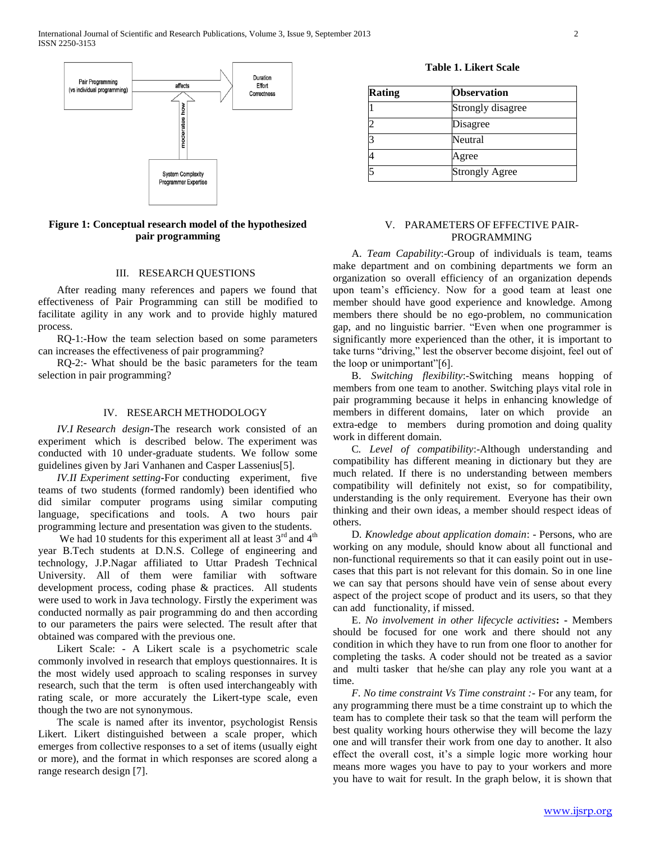

**Figure 1: Conceptual research model of the hypothesized pair programming**

# III. RESEARCH QUESTIONS

 After reading many references and papers we found that effectiveness of Pair Programming can still be modified to facilitate agility in any work and to provide highly matured process.

 RQ-1:-How the team selection based on some parameters can increases the effectiveness of pair programming?

 RQ-2:- What should be the basic parameters for the team selection in pair programming?

#### IV. RESEARCH METHODOLOGY

 *IV.I Research design***-**The research work consisted of an experiment which is described below. The experiment was conducted with 10 under-graduate students. We follow some guidelines given by Jari Vanhanen and Casper Lassenius[5].

 *IV.II Experiment setting***-**For conducting experiment, five teams of two students (formed randomly) been identified who did similar computer programs using similar computing language, specifications and tools. A two hours pair programming lecture and presentation was given to the students.

We had 10 students for this experiment all at least  $3<sup>rd</sup>$  and  $4<sup>th</sup>$ year B.Tech students at D.N.S. College of engineering and technology, J.P.Nagar affiliated to Uttar Pradesh Technical University. All of them were familiar with software development process, coding phase & practices. All students were used to work in Java technology. Firstly the experiment was conducted normally as pair programming do and then according to our parameters the pairs were selected. The result after that obtained was compared with the previous one.

 Likert Scale: - A Likert scale is a psychometric scale commonly involved in research that employs questionnaires. It is the most widely used approach to scaling responses in survey research, such that the term is often used interchangeably with rating scale, or more accurately the Likert-type scale, even though the two are not synonymous.

 The scale is named after its inventor, psychologist Rensis Likert. Likert distinguished between a scale proper, which emerges from collective responses to a set of items (usually eight or more), and the format in which responses are scored along a range research design [7].

**Table 1. Likert Scale**

| <b>Rating</b> | <b>Observation</b>    |  |  |  |
|---------------|-----------------------|--|--|--|
|               | Strongly disagree     |  |  |  |
|               | Disagree              |  |  |  |
|               | Neutral               |  |  |  |
|               | Agree                 |  |  |  |
|               | <b>Strongly Agree</b> |  |  |  |

# V. PARAMETERS OF EFFECTIVE PAIR-PROGRAMMING

 A. *Team Capability*:-Group of individuals is team, teams make department and on combining departments we form an organization so overall efficiency of an organization depends upon team's efficiency. Now for a good team at least one member should have good experience and knowledge. Among members there should be no ego-problem, no communication gap, and no linguistic barrier. "Even when one programmer is significantly more experienced than the other, it is important to take turns "driving," lest the observer become disjoint, feel out of the loop or unimportant"[6].

 B. *Switching flexibility*:-Switching means hopping of members from one team to another. Switching plays vital role in pair programming because it helps in enhancing knowledge of members in different domains, later on which provide an extra-edge to members during promotion and doing quality work in different domain.

 C*. Level of compatibility*:-Although understanding and compatibility has different meaning in dictionary but they are much related. If there is no understanding between members compatibility will definitely not exist, so for compatibility, understanding is the only requirement. Everyone has their own thinking and their own ideas, a member should respect ideas of others.

 D*. Knowledge about application domain*: - Persons, who are working on any module, should know about all functional and non-functional requirements so that it can easily point out in usecases that this part is not relevant for this domain. So in one line we can say that persons should have vein of sense about every aspect of the project scope of product and its users, so that they can add functionality, if missed.

 E. *No involvement in other lifecycle activities***: -** Members should be focused for one work and there should not any condition in which they have to run from one floor to another for completing the tasks. A coder should not be treated as a savior and multi tasker that he/she can play any role you want at a time.

 *F. No time constraint Vs Time constraint :-* For any team, for any programming there must be a time constraint up to which the team has to complete their task so that the team will perform the best quality working hours otherwise they will become the lazy one and will transfer their work from one day to another. It also effect the overall cost, it's a simple logic more working hour means more wages you have to pay to your workers and more you have to wait for result. In the graph below, it is shown that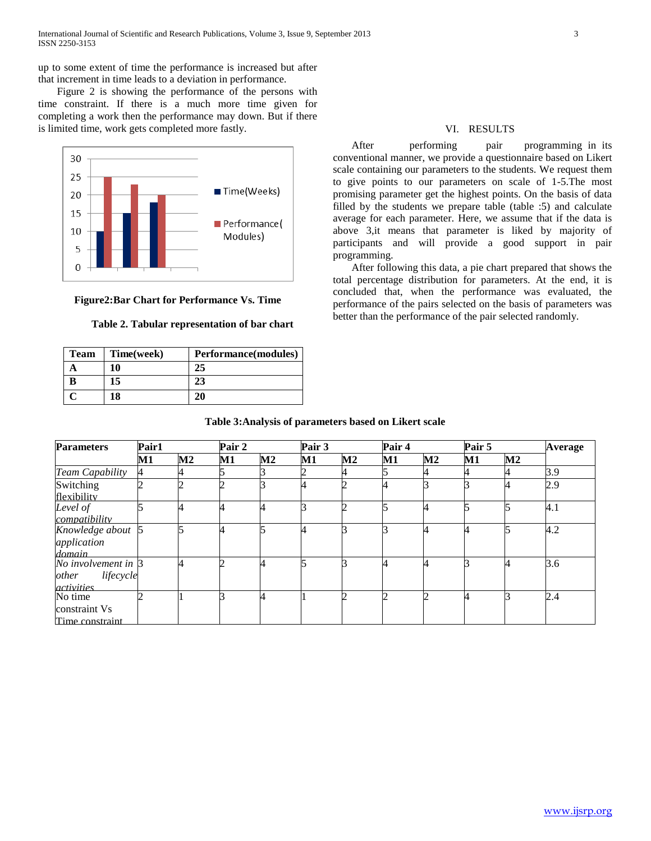up to some extent of time the performance is increased but after that increment in time leads to a deviation in performance.

 Figure 2 is showing the performance of the persons with time constraint. If there is a much more time given for completing a work then the performance may down. But if there is limited time, work gets completed more fastly.



## **Figure2:Bar Chart for Performance Vs. Time**

## **Table 2. Tabular representation of bar chart**

| Team | Time(week) | Performance(modules) |
|------|------------|----------------------|
|      | 10         | 25                   |
|      | 15         |                      |
|      | 18         |                      |

# VI. RESULTS

After performing pair programming in its conventional manner, we provide a questionnaire based on Likert scale containing our parameters to the students. We request them to give points to our parameters on scale of 1-5.The most promising parameter get the highest points. On the basis of data filled by the students we prepare table (table :5) and calculate average for each parameter. Here, we assume that if the data is above 3,it means that parameter is liked by majority of participants and will provide a good support in pair programming.

 After following this data, a pie chart prepared that shows the total percentage distribution for parameters. At the end, it is concluded that, when the performance was evaluated, the performance of the pairs selected on the basis of parameters was better than the performance of the pair selected randomly.

#### **Table 3:Analysis of parameters based on Likert scale**

| <b>Parameters</b>   | Pair1         |               | Pair 2 |               | Pair 3        |                | Pair 4        | Pair 5        |               | Average       |     |
|---------------------|---------------|---------------|--------|---------------|---------------|----------------|---------------|---------------|---------------|---------------|-----|
|                     | $\mathbf{M1}$ | $\mathbf{M2}$ | M1     | $\mathbf{M2}$ | $\mathbf{M1}$ | M <sub>2</sub> | $\mathbf{M1}$ | $\mathbf{M2}$ | $\mathbf{M1}$ | $\mathbf{M2}$ |     |
| Team Capability     | 4             |               |        |               | 2             |                |               |               |               |               | 3.9 |
| Switching           |               |               |        |               | 4             |                |               |               |               |               | 2.9 |
| flexibility         |               |               |        |               |               |                |               |               |               |               |     |
| Level of            |               |               |        |               | ⌒             |                |               |               |               |               | 4.1 |
| compatibility       |               |               |        |               |               |                |               |               |               |               |     |
| Knowledge about 5   |               |               |        |               | 4             |                |               |               |               |               | 4.2 |
| application         |               |               |        |               |               |                |               |               |               |               |     |
| domain              |               |               |        |               |               |                |               |               |               |               |     |
| No involvement in 3 |               |               |        |               |               |                |               |               |               |               | 3.6 |
| lifecycle<br>other  |               |               |        |               |               |                |               |               |               |               |     |
| <i>activities</i>   |               |               |        |               |               |                |               |               |               |               |     |
| No time             |               |               |        |               |               |                |               |               |               |               | 2.4 |
| constraint Vs       |               |               |        |               |               |                |               |               |               |               |     |
| Time constraint     |               |               |        |               |               |                |               |               |               |               |     |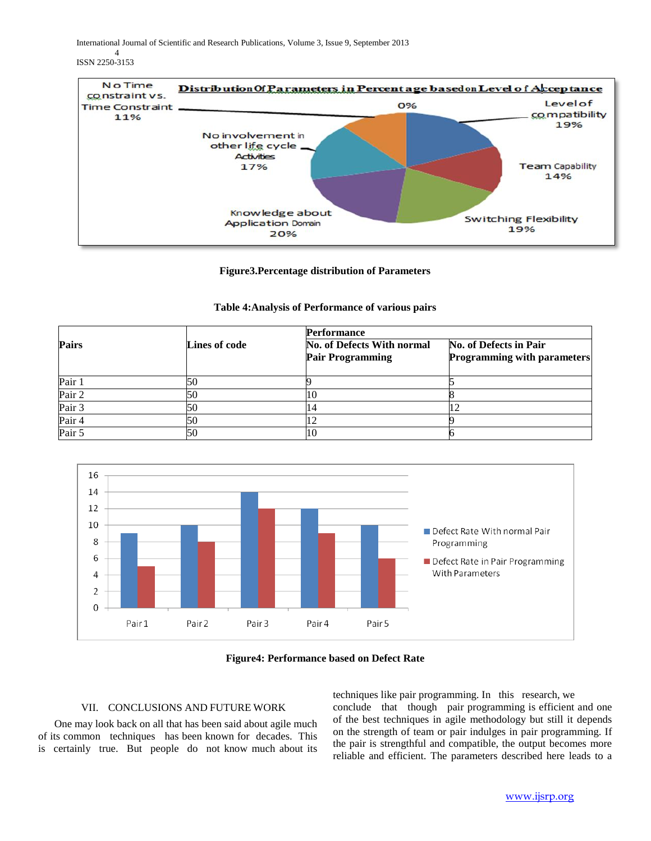International Journal of Scientific and Research Publications, Volume 3, Issue 9, September 2013

4 ISSN 2250-3153



# **Figure3.Percentage distribution of Parameters**

# **Table 4:Analysis of Performance of various pairs**

|                   |               | <b>Performance</b>                                    |                                                              |  |  |  |  |
|-------------------|---------------|-------------------------------------------------------|--------------------------------------------------------------|--|--|--|--|
| Pairs             | Lines of code | No. of Defects With normal<br><b>Pair Programming</b> | No. of Defects in Pair<br><b>Programming with parameters</b> |  |  |  |  |
| Pair 1            | 50            |                                                       |                                                              |  |  |  |  |
| Pair 2            | 50            |                                                       |                                                              |  |  |  |  |
| Pair <sub>3</sub> | 50            |                                                       |                                                              |  |  |  |  |
| Pair 4            | 50            |                                                       |                                                              |  |  |  |  |
| Pair 5            | 50            |                                                       |                                                              |  |  |  |  |



# **Figure4: Performance based on Defect Rate**

# VII. CONCLUSIONS AND FUTURE WORK

 One may look back on all that has been said about agile much of its common techniques has been known for decades. This is certainly true. But people do not know much about its techniques like pair programming. In this research, we conclude that though pair programming is efficient and one of the best techniques in agile methodology but still it depends on the strength of team or pair indulges in pair programming. If the pair is strengthful and compatible, the output becomes more reliable and efficient. The parameters described here leads to a